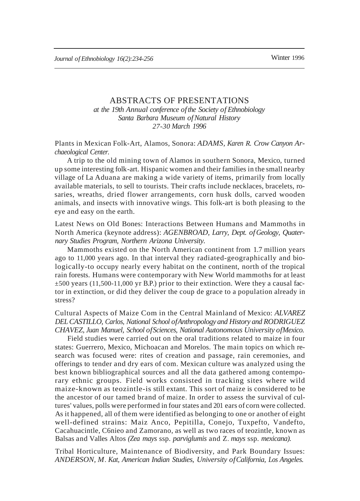# ABSTRACTS OF PRESENTATIONS *at the 19th Annual conference ofthe Society of Ethnobiology Santa Barbara Museum ofNatural History*

*27-30 March 1996*

Plants in Mexican Folk-Art, Alamos, Sonora: *ADAMS, Karen R. Crow Canyon Archaeological Center.*

A trip to the old mining town of Alamos in southern Sonora, Mexico, turned up some interesting folk-art. Hispanic women and their families in the small nearby village of La Aduana are making a wide variety of items, primarily from locally available materials, to sell to tourists. Their crafts include necklaces, bracelets, rosaries, wreaths, dried flower arrangements, corn husk dolls, carved wooden animals, and insects with innovative wings. This folk-art is both pleasing to the eye and easy on the earth.

Latest News on Old Bones: Interactions Between Humans and Mammoths in North America (keynote address): *AGENBROAD, Larry, Dept. of Geology, Quaternary Studies Program, Northern Arizona University.*

Mammoths existed on the North American continent from 1.7 million years ago to 11,000 years ago. In that interval they radiated-geographically and biologically-to occupy nearly every habitat on the continent, north of the tropical rain forests. Humans were contemporary with New World mammoths for at least  $\pm$ 500 years (11,500-11,000 yr B.P.) prior to their extinction. Were they a causal factor in extinction, or did they deliver the coup de grace to a population already in stress?

Cultural Aspects of Maize Com in the Central Mainland of Mexico: *ALVAREZ DELCASTILLO, Carlos, National School ofAnthropology and History and RODRIGUEZ CHAVEZ, Juan Manuel, School ofSciences, National Autonomous University ofMexico.*

Field studies were carried out on the oral traditions related to maize in four states: Guerrero, Mexico, Michoacan and Morelos. The main topics on which research was focused were: rites of creation and passage, rain ceremonies, and offerings to tender and dry ears of com. Mexican culture was analyzed using the best known bibliographical sources and all the data gathered among contemporary ethnic groups. Field works consisted in tracking sites where wild maize-known as teozintle-is still extant. This sort of maize is considered to be the ancestor of our tamed brand of maize. In order to assess the survival of cultures' values, polls were performed in four states and 201 ears of corn were collected. As it happened, all of them were identified as belonging to one or another of eight well-defined strains: Maiz Anco, Pepitilla, Conejo, Tuxpefto, Vandefto, Cacahuacintle, C6nieo and Zamorano, as well as two races of teozintle, known as Balsas and Valles Altos *(Zea mays* ssp. *parviglumis* and Z. *mays* ssp. *mexicana).*

Tribal Horticulture, Maintenance of Biodiversity, and Park Boundary Issues: *ANDERSON, M. Kat, American Indian Studies, University ofCalifornia, Los Angeles.*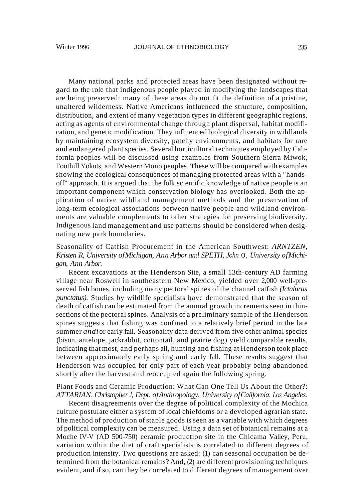Many national parks and protected areas have been designated without regard to the role that indigenous people played in modifying the landscapes that are being preserved: many of these areas do not fit the definition of a pristine, unaltered wilderness. Native Americans influenced the structure, composition, distribution, and extent of many vegetation types in different geographic regions, acting as agents of environmental change through plant dispersal, habitat modification, and genetic modification. They influenced biological diversity in wildlands by maintaining ecosystem diversity, patchy environments, and habitats for rare and endangered plant species. Several horticultural techniques employed by California peoples will be discussed using examples from Southern Sierra Miwok, Foothill Yokuts, and Western Mono peoples. These will be compared with examples showing the ecological consequences of managing protected areas with a "handsoff" approach. It is argued that the folk scientific knowledge of native people is an important component which conservation biology has overlooked. Both the application of native wildland management methods and the preservation of long-term ecological associations between native people and wildland environments are valuable complements to other strategies for preserving biodiversity. Indigenous land management and use patterns should be considered when designating new park boundaries.

# Seasonality of Catfish Procurement in the American Southwest: *ARNTZEN, Kristen R, University ofMichigan, Ann Arbor and SPETH, John* 0, *University ofMichigan, Ann Arbor.*

Recent excavations at the Henderson Site, a small 13th-century AD farming village near Roswell in southeastern New Mexico, yielded over 2,000 well-preserved fish bones, including many pectoral spines of the channel catfish *(Ictalurus punctatus).* Studies by wildlife specialists have demonstrated that the season of death of catfish can be estimated from the annual growth increments seen in thinsections of the pectoral spines. Analysis of a preliminary sample of the Henderson spines suggests that fishing was confined to a relatively brief period in the late summer *andl*or early fall. Seasonality data derived from five other animal species (bison, antelope, jackrabbit, cottontail, and prairie dog) yield comparable results, indicating that most, and perhaps all, hunting and fishing at Henderson took place between approximately early spring and early fall. These results suggest that Henderson was occupied for only part of each year probably being abandoned shortly after the harvest and reoccupied again the following spring.

#### Plant Foods and Ceramic Production: What Can One Tell Us About the Other?: *ATTARIAN, Christopher J, Dept. ofAnthropology, University ofCalifornia, Los Angeles.*

Recent disagreements over the degree of political complexity of the Mochica culture postulate either a system of local chiefdoms or a developed agrarian state. The method of production of staple goods is seen as a variable with which degrees of political complexity can be measured. Using a data set of botanical remains at a Moche IV-V (AD 500-750) ceramic production site in the Chicama Valley, Peru, variation within the diet of craft specialists is correlated to different degrees of production intensity. Two questions are asked: (1) can seasonal occupation be determined from the botanical remains? And, (2) are different provisioning techniques evident, and if so, can they be correlated to different degrees of management over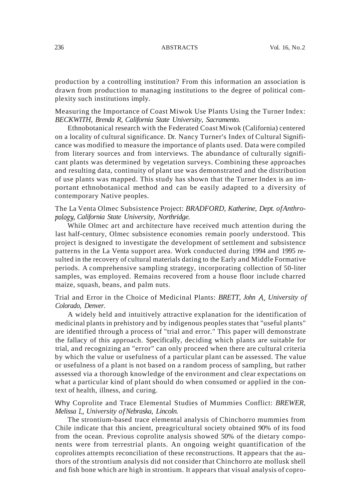production by a controlling institution? From this information an association is drawn from production to managing institutions to the degree of political complexity such institutions imply.

Measuring the Importance of Coast Miwok Use Plants Using the Turner Index: *BECKWITH, Brenda R, California State University, Sacramento.*

Ethnobotanical research with the Federated Coast Miwok (California) centered on a locality of cultural significance. Dr. Nancy Turner's Index of Cultural Significance was modified to measure the importance of plants used. Data were compiled from literary sources and from interviews. The abundance of culturally significant plants was determined by vegetation surveys. Combining these approaches and resulting data, continuity of plant use was demonstrated and the distribution of use plants was mapped. This study has shown that the Turner Index is an important ethnobotanical method and can be easily adapted to a diversity of contemporary Native peoples.

The La Venta Olmec Subsistence Project: *BRADFORD, Katherine, Dept. ofAnthropology, California State University, Northridge.*

While Olmec art and architecture have received much attention during the last half-century, Olmec subsistence economies remain poorly understood. This project is designed to investigate the development of settlement and subsistence patterns in the La Venta support area. Work conducted during 1994 and 1995 resulted in the recovery of cultural materials dating to the Early and Middle Formative periods. A comprehensive sampling strategy, incorporating collection of 50-liter samples, was employed. Remains recovered from a house floor include charred maize, squash, beans, and palm nuts.

Trial and Error in the Choice of Medicinal Plants: *BRETT, John A, University of Colorado, Denver.*

A widely held and intuitively attractive explanation for the identification of medicinal plants in prehistory and by indigenous peoples states that "useful plants" are identified through a process of "trial and error." This paper will demonstrate the fallacy of this approach. Specifically, deciding which plants are suitable for trial, and recognizing an "error" can only proceed when there are cultural criteria by which the value or usefulness of a particular plant can be assessed. The value or usefulness of a plant is not based on a random process of sampling, but rather assessed via a thorough knowledge of the environment and clear expectations on what a particular kind of plant should do when consumed or applied in the context of health, illness, and curing.

Why Coprolite and Trace Elemental Studies of Mummies Conflict: *BREWER, Melissa* L, *University ofNebraska, Lincoln.*

The strontium-based trace elemental analysis of Chinchorro mummies from Chile indicate that this ancient, preagricultural society obtained 90% of its food from the ocean. Previous coprolite analysis showed 50% of the dietary components were from terrestrial plants. An ongoing weight quantification of the coprolites attempts reconciliation of these reconstructions. It appears that the authors of the strontium analysis did not consider that Chinchorro ate mollusk shell and fish bone which are high in strontium. It appears that visual analysis of copro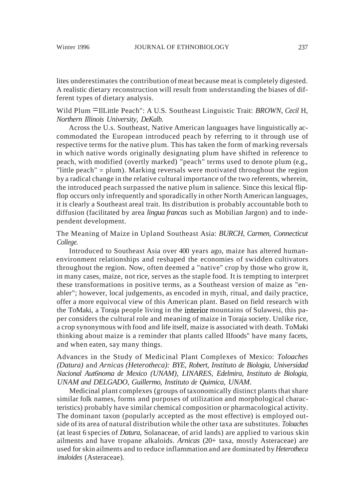lites underestimates the contribution of meat because meat is completely digested. A realistic dietary reconstruction will result from understanding the biases of different types of dietary analysis.

Wild Plum =IlLittle Peach": <sup>A</sup> U.S. Southeast Linguistic Trait: *BROWN, Cecil* H, *Northern Illinois University, DeKalb.*

Across the U.s. Southeast, Native American languages have linguistically accommodated the European introduced peach by referring to it through use of respective terms for the native plum. This has taken the form of marking reversals in which native words originally designating plum have shifted in reference to peach, with modified (overtly marked) "peach" terms used to denote plum (e.g., "little peach" = plum). Marking reversals were motivated throughout the region by a radical change in the relative cultural importance of the two referents, wherein, the introduced peach surpassed the native plum in salience. Since this lexical flipflop occurs only infrequently and sporadically in other North American languages, it is clearly a Southeast areal trait. Its distribution is probably accountable both to diffusion (facilitated by area *lingua francas* such as Mobilian Jargon) and to independent development.

The Meaning of Maize in Upland Southeast Asia: *BURCH, Carmen, Connecticut College.*

Introduced to Southeast Asia over 400 years ago, maize has altered humanenvironment relationships and reshaped the economies of swidden cultivators throughout the region. Now, often deemed a "native" crop by those who grow it, in many cases, maize, not rice, serves as the staple food. It is tempting to interpret these transformations in positive terms, as a Southeast version of maize as "enabler"; however, local judgements, as encoded in myth, ritual, and daily practice, offer a more equivocal view of this American plant. Based on field research with the ToMaki, a Toraja people living in the interior mountains of Sulawesi, this paper considers the cultural role and meaning of maize in Toraja society. Unlike rice, a crop synonymous with food and life itself, maize is associated with death. ToMaki thinking about maize is a reminder that plants called IIfoods" have many facets, and when eaten, say many things.

Advances in the Study of Medicinal Plant Complexes of Mexico: *Toloaches (Datura)* and *Arnicas (Heterotheca): BYE, Robert, Instituto de Biologia, Universidad Nacional Aut6noma de Mexico (UNAM), LINARES, Edelmira, Instituto de Biologia, UNAM and DELGADO, Guillermo, Instituto de Quimica, UNAM.*

Medicinal plant complexes (groups of taxonomically distinct plants that share similar folk names, forms and purposes of utilization and morphological characteristics) probably have similar chemical composition or pharmacological activity. The dominant taxon (popularly accepted as the most effective) is employed outside ofits area of natural distribution while the other taxa are substitutes. *Toloaches* (at least 6 species of *Datura,* Solanaceae, of arid lands) are applied to various skin ailments and have tropane alkaloids. *Arnicas* (20+ taxa, mostly Asteraceae) are used for skin ailments and to reduce inflammation and are dominated by *Heterotheca inuloides* (Asteraceae).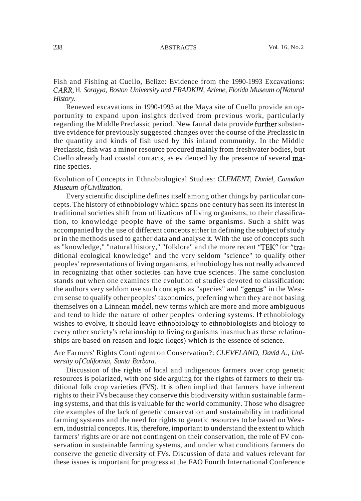Fish and Fishing at Cuello, Belize: Evidence from the 1990-1993 Excavations: *CARR,* H. *Sorayya, Boston University and FRADKIN, Arlene, Florida Museum ofNatural History.*

Renewed excavations in 1990-1993 at the Maya site of Cuello provide an opportunity to expand upon insights derived from previous work, particularly regarding the Middle Preclassic period. New faunal data provide further substantive evidence for previously suggested changes over the course of the Preclassic in the quantity and kinds of fish used by this inland community. In the Middle Preclassic, fish was a minor resource procured mainly from freshwater bodies, but Cuello already had coastal contacts, as evidenced by the presence of several marine species.

Evolution of Concepts in Ethnobiological Studies: *CLEMENT, Daniel, Canadian Museum ofCivilization.*

Every scientific discipline defines itself among other things by particular concepts.The history of ethnobiology which spans one century has seen its interest in traditional societies shift from utilizations of living organisms, to their classification, to knowledge people have of the same organisms. Such a shift was accompanied by the use of different concepts either in defining the subject of study or in the methods used to gather data and analyse it. With the use of concepts such as "knowledge," "natural history," "folklore" and the more recent "TEK" for "traditional ecological knowledge" and the very seldom "science" to qualify other peoples' representations ofliving organisms, ethnobiology has not really advanced in recognizing that other societies can have true sciences. The same conclusion stands out when one examines the evolution of studies devoted to classification: the authors very seldom use such concepts as "species" and "genus" in the Western sense to qualify other peoples' taxonomies, preferring when they are not basing themselves on a Linnean model, new terms which are more and more ambiguous and tend to hide the nature of other peoples' ordering systems. If ethnobiology wishes to evolve, it should leave ethnobiology to ethnobiologists and biology to every other society's relationship to living organisms inasmuch as these relationships are based on reason and logic (logos) which is the essence of science.

# Are Farmers' Rights Contingent on Conservation?: *CLEVELAND, David A., University ofCalifornia, Santa Barbara.*

Discussion of the rights of local and indigenous farmers over crop genetic resources is polarized, with one side arguing for the rights of farmers to their traditional folk crop varieties (FVS). It is often implied that farmers have inherent rights to their FVs because they conserve this biodiversity within sustainable farming systems, and that this is valuable for the world community. Those who disagree cite examples of the lack of genetic conservation and sustainability in traditional farming systems and the need for rights to genetic resources to be based on Western, industrial concepts.It is, therefore, important to understand the extent to which farmers' rights are or are not contingent on their conservation, the role of FV conservation in sustainable farming systems, and under what conditions farmers do conserve the genetic diversity of FVs. Discussion of data and values relevant for these issues is important for progress at the FAO Fourth International Conference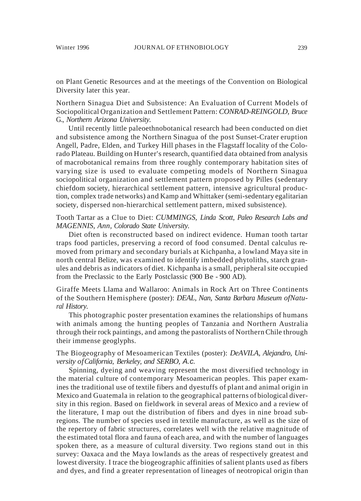on Plant Genetic Resources and at the meetings of the Convention on Biological Diversity later this year.

Northern Sinagua Diet and Subsistence: An Evaluation of Current Models of Sociopolitical Organization and Settlement Pattern: *CONRAD-REINGOLD, Bruce* G., *Northern Arizona University.*

Until recently little paleoethnobotanical research had been conducted on diet and subsistence among the Northern Sinagua of the post Sunset-Crater eruption Angell, Padre, Elden, and Turkey Hill phases in the Flagstaff locality of the Colorado Plateau. Building on Hunter's research, quantified data obtained from analysis of macrobotanical remains from three roughly contemporary habitation sites of varying size is used to evaluate competing models of Northern Sinagua sociopolitical organization and settlement pattern proposed by Pilles (sedentary chiefdom society, hierarchical settlement pattern, intensive agricultural production, complex trade networks) and Kamp and Whittaker (semi-sedentary egalitarian society, dispersed non-hierarchical settlement pattern, mixed subsistence).

Tooth Tartar as a Clue to Diet: *CUMMINGS, Linda Scott, Paleo Research Labs and MAGENNIS, Ann, Colorado State University.*

Diet often is reconstructed based on indirect evidence. Human tooth tartar traps food particles, preserving a record of food consumed. Dental calculus removed from primary and secondary burials at Kichpanha, a lowland Maya site in north central Belize, was examined to identify imbedded phytoliths, starch granules and debris as indicators of diet. Kichpanha is a small, peripheral site occupied from the Preclassic to the Early Postclassic (900 Be - 900 AD).

Giraffe Meets Llama and Wallaroo: Animals in Rock Art on Three Continents of the Southern Hemisphere (poster): *DEAL, Nan, Santa Barbara Museum ofNatural History.*

This photographic poster presentation examines the relationships of humans with animals among the hunting peoples of Tanzania and Northern Australia through their rock paintings, and among the pastoralists of Northern Chile through their immense geoglyphs.

# The Biogeography of Mesoamerican Textiles (poster): *DeAVILA, Alejandro, University ofCalifornia, Berkeley, and SERBO,* A.c.

Spinning, dyeing and weaving represent the most diversified technology in the material culture of contemporary Mesoamerican peoples. This paper examines the traditional use of textile fibers and dyestuffs of plant and animal origin in Mexico and Guatemala in relation to the geographical patterns of biological diversity in this region. Based on fieldwork in several areas of Mexico and a review of the literature, I map out the distribution of fibers and dyes in nine broad subregions. The number of species used in textile manufacture, as well as the size of the repertory of fabric structures, correlates well with the relative magnitude of the estimated total flora and fauna of each area, and with the number of languages spoken there, as a measure of cultural diversity. Two regions stand out in this survey: Oaxaca and the Maya lowlands as the areas of respectively greatest and lowest diversity. I trace the biogeographic affinities of salient plants used as fibers and dyes, and find a greater representation of lineages of neotropical origin than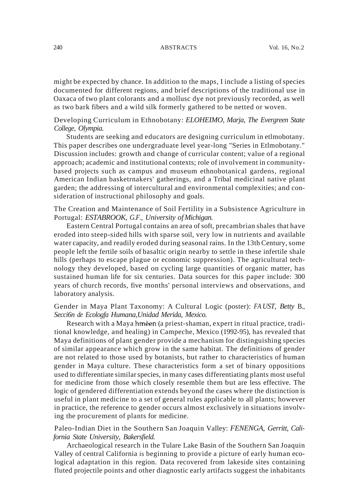might be expected by chance. In addition to the maps, I include a listing of species documented for different regions, and brief descriptions of the traditional use in Oaxaca of two plant colorants and a mollusc dye not previously recorded, as well as two bark fibers and a wild silk formerly gathered to be netted or woven.

# Developing Curriculum in Ethnobotany: *ELOHEIMO, Marja, The Evergreen State College, Olympia.*

Students are seeking and educators are designing curriculum in etlmobotany. This paper describes one undergraduate level year-long "Series in Etlmobotany." Discussion includes: growth and change of curricular content; value of a regional approach; academic and institutional contexts; role of involvement in communitybased projects such as campus and museum ethnobotanical gardens, regional American Indian basketrnakers' gatherings, and a Tribal medicinal native plant garden; the addressing of intercultural and environmental complexities; and consideration of instructional philosophy and goals.

## The Creation and Maintenance of Soil Fertility in a Subsistence Agriculture in Portugal: *ESTABROOK, G.F., University ofMichigan.*

Eastern Central Portugal contains an area ofsoft, precambrian shales that have eroded into steep-sided hills with sparse soil, very low in nutrients and available water capacity, and readily eroded during seasonal rains. In the 13th Century, some people left the fertile soils of basaltic origin nearby to settle in these infertile shale hills (perhaps to escape plague or economic suppression). The agricultural technology they developed, based on cycling large quantities of organic matter, has sustained human life for six centuries. Data sources for this paper include: 300 years of church records, five months' personal interviews and observations, and laboratory analysis.

### Gender in Maya Plant Taxonomy: A Cultural Logic (poster): *FA UST, Betty* B., *Secci6n de Ecologfa Humana,Unidad Merida, Mexico.*

Research with a Maya hmèen (a priest-shaman, expert in ritual practice, traditional knowledge, and healing) in Campeche, Mexico (1992-95), has revealed that Maya definitions of plant gender provide a mechanism for distinguishing species of similar appearance which grow in the same habitat. The definitions of gender are not related to those used by botanists, but rather to characteristics of human gender in Maya culture. These characteristics form a set of binary oppositions used to differentiate similarspecies, in many cases differentiating plants most useful for medicine from those which closely resemble them but are less effective. The logic of gendered differentiation extends beyond the cases where the distinction is useful in plant medicine to a set of general rules applicable to all plants; however in practice, the reference to gender occurs almost exclusively in situations involving the procurement of plants for medicine.

### Paleo-Indian Diet in the Southern San Joaquin Valley: *FENENGA, Gerritt, California State University, Bakersfield.*

Archaeological research in the Tulare Lake Basin of the Southern San Joaquin Valley of central California is beginning to provide a picture of early human ecological adaptation in this region. Data recovered from lakeside sites containing fluted projectile points and other diagnostic early artifacts suggest the inhabitants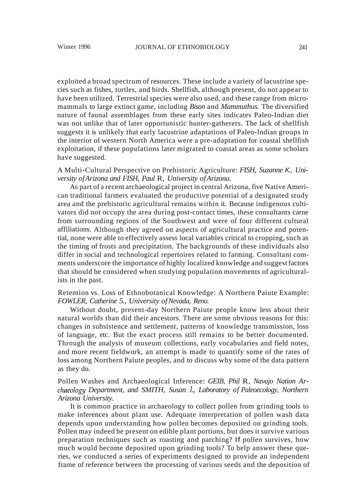exploited a broad spectrum of resources. These include a variety of lacustrine species such as fishes, turtles, and birds. Shellfish, although present, do not appear to have been utilized. Terrestrial species were also used, and these range from micromammals to large extinct game, including *Bison* and *Mammuthus.* The diversified nature of faunal assemblages from these early sites indicates Paleo-Indian diet was not unlike that of later opportunistic hunter-gatherers. The lack of shellfish suggests it is unlikely that early lacustrine adaptations of Paleo-Indian groups in the interior of western North America were a pre-adaptation for coastal shellfish exploitation, if these populations later migrated to coastal areas as some scholars have suggested.

# A Multi-Cultural Perspective on Prehistoric Agriculture: *FISH, Suzanne* K., *University ofArizona and FISH, Paul* R, *University ofArizona.*

As part of a recent archaeological project in central Arizona, five Native American traditional farmers evaluated the productive potential of a designated study area and the prehistoric agricultural remains within it. Because indigenous cultivators did not occupy the area during post-contact times, these consultants carne from surrounding regions of the Southwest and were of four different cultural affiliations. Although they agreed on aspects of agricultural practice and potential, none were able to effectively assess local variables critical to cropping, such as the timing of frosts and precipitation. The backgrounds of these individuals also differ in social and technological repertoires related to farming. Consultant comments underscore the importance of highly localized knowledge and suggest factors that should be considered when studying population movements of agriculturalists in the past.

## Retention vs. Loss of Ethnobotanical Knowledge: A Northern Paiute Example: *FOWLER, Catherine 5., University ofNevada, Reno.*

Without doubt, present-day Northern Paiute people know less about their natural worlds than did their ancestors. There are some obvious reasons for this: changes in subsistence and settlement, patterns of knowledge transmission, loss of language, etc. But the exact process still remains to be better documented. Through the analysis of museum collections, early vocabularies and field notes, and more recent fieldwork, an attempt is made to quantify some of the rates of loss among Northern Paiute peoples, and to discuss why some of the data pattern as they do.

# Pollen Washes and Archaeological Inference: *GEIB, Phil* R, *Navajo Nation Archaeologtj Department, and SMITH, Susan J., Laboratory of Paleoecology, Northern Arizona University.*

It is common practice in archaeology to collect pollen from grinding tools to make inferences about plant use. Adequate interpretation of pollen wash data depends upon understanding how pollen becomes deposited on grinding tools. Pollen may indeed be present on edible plant portions, but does it survive various preparation techniques such as roasting and parching? If pollen survives, how much would become deposited upon grinding tools? To help answer these queries, we conducted a series of experiments designed to provide an independent frame of reference between the processing of various seeds and the deposition of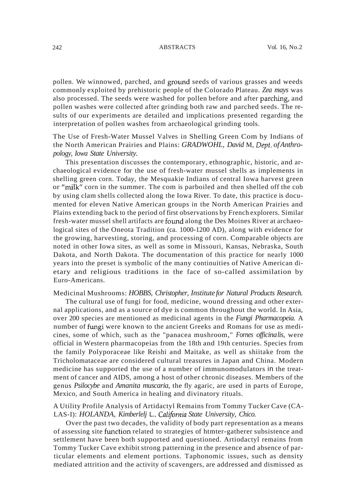pollen. We winnowed, parched, and ground seeds of various grasses and weeds commonly exploited by prehistoric people of the Colorado Plateau. *Zea mays* was also processed. The seeds were washed for pollen before and after parching, and pollen washes were collected after grinding both raw and parched seeds. The results of our experiments are detailed and implications presented regarding the interpretation of pollen washes from archaeological grinding tools.

The Use of Fresh-Water Mussel Valves in Shelling Green Com by Indians of the North American Prairies and Plains: *GRADWOHL, David* M, *Dept. ofAnthropology, Iowa State University.*

This presentation discusses the contemporary, ethnographic, historic, and archaeological evidence for the use of fresh-water mussel shells as implements in shelling green corn. Today, the Mesquakie Indians of central Iowa harvest green or "milk" corn in the summer. The com is parboiled and then shelled off the cob by using clam shells collected along the Iowa River. To date, this practice is documented for eleven Native American groups in the North American Prairies and Plains extending back to the period of first observations by French explorers. Similar fresh-water mussel shell artifacts are found along the Des Moines River at archaeological sites of the Oneota Tradition (ca. 1000-1200 AD), along with evidence for the growing, harvesting, storing, and processing of corn. Comparable objects are noted in other Iowa sites, as well as some in Missouri, Kansas, Nebraska, South Dakota, and North Dakota. The documentation of this practice for nearly 1000 years into the preset is symbolic of the many continuities of Native American dietary and religious traditions in the face of so-called assimilation by Euro-Americans.

#### Medicinal Mushrooms: *HOBBS, Christopher, Institute for Natural Products Research.*

The cultural use of fungi for food, medicine, wound dressing and other external applications, and as a source of dye is common throughout the world. In Asia, over 200 species are mentioned as medicinal agents in the *Fungi Pharmacopeia.* A number of ftmgi were known to the ancient Greeks and Romans for use as medicines, some of which, such as the "panacea mushroom," *Fornes officinalis,* were official in Western pharmacopeias from the 18th and 19th centuries. Species from the family Polyporaceae like Reishi and Maitake, as well as shiitake from the Tricholomataceae are considered cultural treasures in Japan and China. Modern medicine has supported the use of a number of immunomodulators in the treatment of cancer and AIDS, among a host of other chronic diseases. Members of the genus *Psilocybe* and *Amanita muscaria,* the fly agaric, are used in parts of Europe, Mexico, and South America in healing and divinatory rituals.

#### A Utility Profile Analysis of Artidactyl Remains from Tommy Tucker Cave (CA-LAS-I): *HOLANDA, Kimberlelj* L., *California State University, Chico.*

Over the past two decades, the validity of body part representation as a means of assessing site ftmction related to strategies of htmter-gatherer subsistence and settlement have been both supported and questioned. Artiodactyl remains from Tommy Tucker Cave exhibit strong patterning in the presence and absence of particular elements and element portions. Taphonomic issues, such as density mediated attrition and the activity of scavengers, are addressed and dismissed as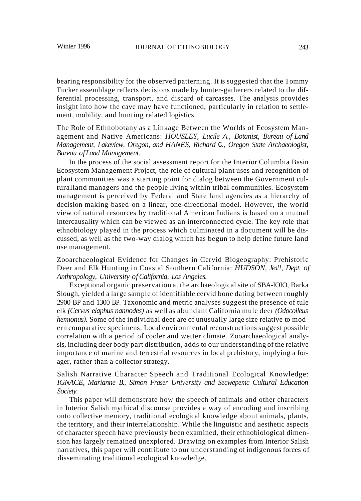bearing responsibility for the observed patterning. It is suggested that the Tommy Tucker assemblage reflects decisions made by hunter-gatherers related to the differential processing, transport, and discard of carcasses. The analysis provides insight into how the cave may have functioned, particularly in relation to settlement, mobility, and hunting related logistics.

The Role of Ethnobotany as a Linkage Between the Worlds of Ecosystem Management and Native Americans: *HOUSLEY, Lucile* A., *Botanist, Bureau of Land Management, Lakeview, Oregon, and HANES, Richard* c., *Oregon State Archaeologist, Bureau ofLand Management.*

In the process of the social assessment report for the Interior Columbia Basin Ecosystem Management Project, the role of cultural plant uses and recognition of plant communities was a starting point for dialog between the Government culturalland managers and the people living within tribal communities. Ecosystem management is perceived by Federal and State land agencies as a hierarchy of decision making based on a linear, one-directional model. However, the world view of natural resources by traditional American Indians is based on a mutual intercausality which can be viewed as an interconnected cycle. The key role that ethnobiology played in the process which culminated in a document will be discussed, as well as the two-way dialog which has begun to help define future land use management.

Zooarchaeological Evidence for Changes in Cervid Biogeography: Prehistoric Deer and Elk Hunting in Coastal Southern California: *HUDSON, Jeal1, Dept. of Anthropology, University ofCalifornia, Los Angeles.*

Exceptional organic preservation at the archaeological site of SBA-IOIO, Barka Slough, yielded a large sample of identifiable cervid bone dating between roughly 2900 BP and 1300 BP. Taxonomic and metric analyses suggest the presence of tule elk *(Cervus elaphus nannodes)* as well as abundant California mule deer *(Odocoileus hemionus).* Some of the individual deer are of unusually large size relative to modern comparative specimens. Local environmental reconstructions suggest possible correlation with a period of cooler and wetter climate. Zooarchaeological analysis, including deer body part distribution, adds to our understanding of the relative importance of marine and terrestrial resources in local prehistory, implying a forager, rather than a collector strategy.

# Salish Narrative Character Speech and Traditional Ecological Knowledge: *IGNACE, Marianne B., Simon Fraser University and Secwepemc Cultural Education Society.*

This paper will demonstrate how the speech of animals and other characters in Interior Salish mythical discourse provides a way of encoding and inscribing onto collective memory, traditional ecological knowledge about animals, plants, the territory, and their interrelationship. While the linguistic and aesthetic aspects of character speech have previously been examined, their ethnobiological dimension has largely remained unexplored. Drawing on examples from Interior Salish narratives, this paper will contribute to our understanding of indigenous forces of disseminating traditional ecological knowledge.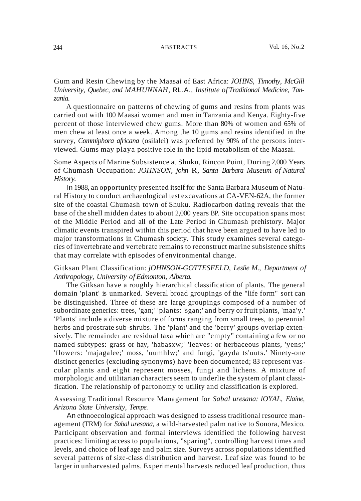Gum and Resin Chewing by the Maasai of East Africa: *JOHNS, Timothy, McGill University, Quebec, and MAHUNNAH,* RL.A., *Institute of Traditional Medicine, Tanzania.*

A questionnaire on patterns of chewing of gums and resins from plants was carried out with 100 Maasai women and men in Tanzania and Kenya. Eighty-five percent of those interviewed chew gums. More than 80% of women and 65% of men chew at least once a week. Among the 10 gums and resins identified in the survey, *Commiphora africana* (osilalei) was preferred by 90% of the persons interviewed. Gums may playa positive role in the lipid metabolism of the Maasai.

Some Aspects of Marine Subsistence at Shuku, Rincon Point, During 2,000 Years of Chumash Occupation: *JOHNSON, john* R, *Santa Barbara Museum of Natural History.*

In 1988, an opportunity presented itself for the Santa Barbara Museum of Natural History to conduct archaeological test excavations at CA-VEN-62A, the former site of the coastal Chumash town of Shuku. Radiocarbon dating reveals that the base of the shell midden dates to about 2,000 years BP. Site occupation spans most of the Middle Period and all of the Late Period in Chumash prehistory. Major climatic events transpired within this period that have been argued to have led to major transformations in Chumash society. This study examines several categories of invertebrate and vertebrate remains to reconstruct marine subsistence shifts that may correlate with episodes of environmental change.

# Gitksan Plant Classification: *jOHNSON-GOTTESFELD, Leslie M., Department of Anthropology, University of Edmonton, Alberta.*

The Gitksan have a roughly hierarchical classification of plants. The general domain 'plant' is unmarked. Several broad groupings of the "life form" sort can be distinguished. Three of these are large groupings composed of a number of subordinate generics: trees, 'gan;' 'plants: 'sgan;' and berry or fruit plants, 'maa'y.' 'Plants' include a diverse mixture of forms ranging from small trees, to perennial herbs and prostrate sub-shrubs. The 'plant' and the 'berry' groups overlap extensively. The remainder are residual taxa which are "empty" containing a few or no named subtypes: grass or hay, 'habasxw;' 'leaves: or herbaceous plants, 'yens;' 'flowers: 'majagalee;' moss, 'uumhlw;' and fungi, 'gayda ts'uuts.' Ninety-one distinct generics (excluding synonyms) have been documented; 83 represent vascular plants and eight represent mosses, fungi and lichens. A mixture of morphologic and utilitarian characters seem to underlie the system of plant classification. The relationship of partonomy to utility and classification is explored.

# Assessing Traditional Resource Management for *Sabal uresana: lOYAL, Elaine, Arizona State University, Tempe.*

An ethnoecological approach was designed to assess traditional resource management (TRM) for *Sabal uresana,* a wild-harvested palm native to Sonora, Mexico. Participant observation and formal interviews identified the following harvest practices: limiting access to populations, "sparing", controlling harvest times and levels, and choice of leaf age and palm size. Surveys across populations identified several patterns of size-class distribution and harvest. Leaf size was found to be larger in unharvested palms. Experimental harvests reduced leaf production, thus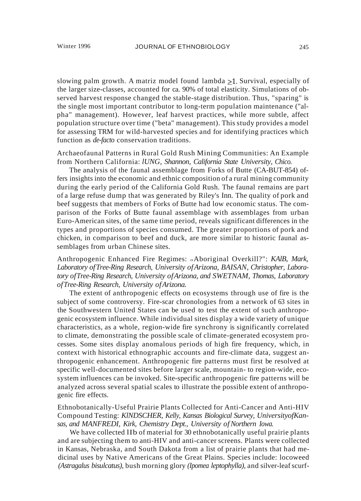slowing palm growth. A matriz model found lambda  $\geq 1$ . Survival, especially of the larger size-classes, accounted for ca. 90% of total elasticity. Simulations of observed harvest response changed the stable-stage distribution. Thus, "sparing" is the single most important contributor to long-term population maintenance ("alpha" management). However, leaf harvest practices, while more subtle, affect population structure over time ("beta" management). This study provides a model for assessing TRM for wild-harvested species and for identifying practices which function as *de-facto* conservation traditions.

Archaeofaunal Patterns in Rural Gold Rush Mining Communities: An Example from Northern California: *lUNG, Shannon, California State University, Chico.*

The analysis of the faunal assemblage from Forks of Butte (CA-BUT-854) offers insights into the economic and ethnic composition of a rural mining community during the early period of the California Gold Rush. The faunal remains are part of a large refuse dump that was generated by Riley's Inn. The quality of pork and beef suggests that members of Forks of Butte had low economic status. The comparison of the Forks of Butte faunal assemblage with assemblages from urban Euro-American sites, of the same time period, reveals significant differences in the types and proportions of species consumed. The greater proportions of pork and chicken, in comparison to beef and duck, are more similar to historic faunal assemblages from urban Chinese sites.

Anthropogenic Enhanced Fire Regimes: *IIAboriginal Overkill?": KAlB, Mark, Laboratory ofTree-Ring Research, University ofArizona, BAISAN, Christopher, Laboratory ofTree-Ring Research, University ofArizona, and SWETNAM, Thomas, Laboratory ofTree-Ring Research, University ofArizona.*

The extent of anthropogenic effects on ecosystems through use of fire is the subject of some controversy. Fire-scar chronologies from a network of 63 sites in the Southwestern United States can be used to test the extent of such anthropogenic ecosystem influence. While individual sites display a wide variety of unique characteristics, as a whole, region-wide fire synchrony is significantly correlated to climate, demonstrating the possible scale of climate-generated ecosystem processes. Some sites display anomalous periods of high fire frequency, which, in context with historical ethnographic accounts and fire-climate data, suggest anthropogenic enhancement. Anthropogenic fire patterns must first be resolved at specific well-documented sites before larger scale, mountain- to region-wide, ecosystem influences can be invoked. Site-specific anthropogenic fire patterns will be analyzed across several spatial scales to illustrate the possible extent of anthropogenic fire effects.

Ethnobotanically-Useful Prairie Plants Collected for Anti-Cancer and Anti-HIV Compound Testing: *KlNDSCHER, Kelly, Kansas Biological Survey, UniversityofKansas, and MANFREDI, Kirk, Chemistry Dept., University ofNorthern Iowa.*

We have collected IIb of material for 30 ethnobotanically useful prairie plants and are subjecting them to anti-HIV and anti-cancer screens. Plants were collected in Kansas, Nebraska, and South Dakota from a list of prairie plants that had medicinal uses by Native Americans of the Great Plains. Species include: locoweed *(Astragalus bisulcatus),* bush morning glory *(Ipomea leptophylla),* and silver-leafscurf-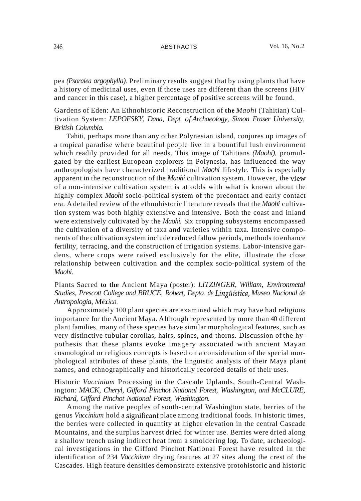pea *(Psoralea argophylla).* Preliminary results suggest that by using plants that have a history of medicinal uses, even if those uses are different than the screens (HIV and cancer in this case), a higher percentage of positive screens will be found.

Gardens of Eden: An Ethnohistoric Reconstruction of **the** *Maohi* (Tahitian) Cultivation System: *LEPOFSKY, Dana, Dept. of Archaeology, Simon Fraser University, British Columbia.*

Tahiti, perhaps more than any other Polynesian island, conjures up images of a tropical paradise where beautiful people live in a bountiful lush environment which readily provided for all needs. This image of Tahitians *(Maohi),* promulgated by the earliest European explorers in Polynesia, has influenced the way anthropologists have characterized traditional *Maohi* lifestyle. This is especially apparent in the reconstruction of the *Maohi* cultivation system. However, the view of a non-intensive cultivation system is at odds with what is known about the highly complex *Maohi* socio-political system of the precontact and early contact era. A detailed review of the ethnohistoric literature reveals that the *Maohi* cultivation system was both highly extensive and intensive. Both the coast and inland were extensively cultivated by the *Maohi.* Six cropping subsystems encompassed the cultivation of a diversity of taxa and varieties within taxa. Intensive components of the cultivation system include reduced fallow periods, methods to enhance fertility, terracing, and the construction of irrigation systems. Labor-intensive gardens, where crops were raised exclusively for the elite, illustrate the close relationship between cultivation and the complex socio-political system of the *Maohi.*

Plants Sacred **to the** Ancient Maya (poster): *LITZINGER, William, Environmetal Studies, Prescott College and BRUCE, Robert, Depto. de Lingiifstica, Museo Nacional de Antropologia, Mexico.*

Approximately 100 plant species are examined which may have had religious importance for the Ancient Maya. Although represented by more than 40 different plant families, many of these species have similar morphological features, such as very distinctive tubular corollas, hairs, spines, and thorns. Discussion of the hypothesis that these plants evoke imagery associated with ancient Mayan cosmological or religious concepts is based on a consideration of the special morphological attributes of these plants, the linguistic analysis of their Maya plant names, and ethnographically and historically recorded details of their uses.

Historic *Vaccinium* Processing in the Cascade Uplands, South-Central Washington: *MACK, Cheryl, Gifford Pinchot National Forest, Washington, and McCLURE, Richard, Gifford Pinchot National Forest, Washington.*

Among the native peoples of south-central Washington state, berries of the genus *Vaccinium* hold a significant place among traditional foods. In historic times, the berries were collected in quantity at higher elevation in the central Cascade Mountains, and the surplus harvest dried for winter use. Berries were dried along a shallow trench using indirect heat from a smoldering log. To date, archaeological investigations in the Gifford Pinchot National Forest have resulted in the identification of 234 *Vaccinium* drying features at 27 sites along the crest of the Cascades. High feature densities demonstrate extensive protohistoric and historic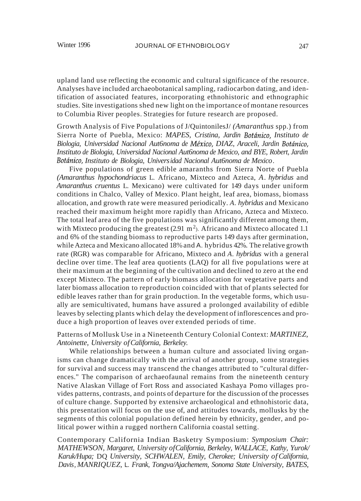upland land use reflecting the economic and cultural significance of the resource. Analyses have included archaeobotanical sampling, radiocarbon dating, and identification of associated features, incorporating ethnohistoric and ethnographic studies. Site investigations shed new light on the importance of montane resources to Columbia River peoples. Strategies for future research are proposed.

Growth Analysis of Five Populations of J/QuintonilesJ/ *(Amaranthus* spp.) from Sierra Norte of Puebla, Mexico: *MAPES, Cristina, Jardin Botanico, Instituto de Biologia, Universidad Nacional Aut6noma de Mexico, DIAZ, Araceli, Jardin Botanico, Instituto de Biologia, Universidad Nacional Aut6noma de Mexico, and BYE, Robert, Jardin Botanico, Instituto de Biologia, Universidad Nacional Aut6noma de Mexico.*

Five populations of green edible amaranths from Sierra Norte of Puebla *(Amaranthus hypochondriacus* L. Africano, Mixteco and Azteca, *A. hybridus* and *Amaranthus cruentus* L. Mexicano) were cultivated for 149 days under uniform conditions in Chalco, Valley of Mexico. Plant height, leaf area, biomass, biomass allocation, and growth rate were measured periodically. *A. hybridus* and Mexicano reached their maximum height more rapidly than Africano, Azteca and Mixteco. The total leaf area of the five populations was significantly different among them, with Mixteco producing the greatest  $(2.91 \text{ m}^2)$ . Africano and Mixteco allocated 1.1 and 6% of the standing biomass to reproductive parts 149 days after germination, while Azteca and Mexicano allocated 18%and A. hybridus 42%. The relative growth rate (RGR) was comparable for Africano, Mixteco and *A. hybridus* with a general decline over time. The leaf area quotients (LAQ) for all five populations were at their maximum at the beginning of the cultivation and declined to zero at the end except Mixteco. The pattern of early biomass allocation for vegetative parts and later biomass allocation to reproduction coincided with that of plants selected for edible leaves rather than for grain production. In the vegetable forms, which usually are semicultivated, humans have assured a prolonged availability of edible leaves by selecting plants which delay the development ofinflorescences and produce a high proportion of leaves over extended periods of time.

### Patterns of Mollusk Use in a Nineteenth Century Colonial Context: *MARTINEZ, Antoinette, University ofCalifornia, Berkeley.*

While relationships between a human culture and associated living organisms can change dramatically with the arrival of another group, some strategies for survival and success may transcend the changes attributed to "cultural differences." The comparison of archaeofaunal remains from the nineteenth century Native Alaskan Village of Fort Ross and associated Kashaya Pomo villages provides patterns, contrasts, and points of departure for the discussion of the processes of culture change. Supported by extensive archaeological and ethnohistoric data, this presentation will focus on the use of, and attitudes towards, mollusks by the segments of this colonial population defined herein by ethnicity, gender, and political power within a rugged northern California coastal setting.

Contemporary California Indian Basketry Symposium: *Symposium Chair: MATHEWSON, Margaret, University ofCalifornia, Berkeley, WALLACE, Kathy, Yurok/ Karuk/Hupa;* DQ *University, SCHWALEN, Emily, Cherokee; University of California, Davis, MANRIQUEZ,* L. *Frank, Tongva/Ajachemem, Sonoma State University, BATES,*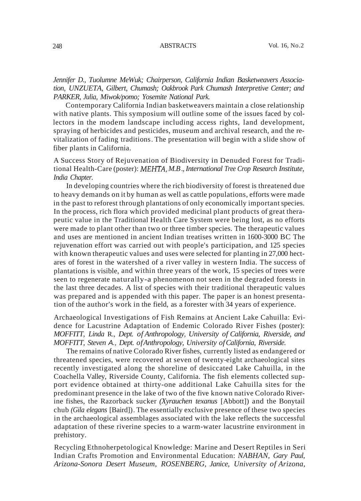*Jennifer D., Tuolumne MeWuk; Chairperson, California Indian Basketweavers Association, UNZUETA, Gilbert, Chumash; Oakbrook Park Chumash Interpretive Center; and PARKER, Julia, Miwok/pomo; Yosemite National Park.*

Contemporary California Indian basketweavers maintain a close relationship with native plants. This symposium will outline some of the issues faced by collectors in the modem landscape including access rights, land development, spraying of herbicides and pesticides, museum and archival research, and the revitalization of fading traditions. The presentation will begin with a slide show of fiber plants in California.

A Success Story of Rejuvenation of Biodiversity in Denuded Forest for Traditional Health-Care (poster): *MEHTA, M.B.,International Tree Crop Research Institute, India Chapter.*

In developing countries where the rich biodiversity of forest is threatened due to heavy demands on it by human as well as cattle populations, efforts were made in the past to reforest through plantations of only economically important species. In the process, rich flora which provided medicinal plant products of great therapeutic value in the Traditional Health Care System were being lost, as no efforts were made to plant other than two or three timber species. The therapeutic values and uses are mentioned in ancient Indian treatises written in 1600-3000 BC The rejuvenation effort was carried out with people's participation, and 125 species with known therapeutic values and uses were selected for planting in 27,000 hectares of forest in the watershed of a river valley in western India. The success of plantations is visible, and within three years of the work, 15 species of trees were seen to regenerate naturally-a phenomenon not seen in the degraded forests in the last three decades. A list of species with their traditional therapeutic values was prepared and is appended with this paper. The paper is an honest presentation of the author's work in the field, as a forester with 34 years of experience.

Archaeological Investigations of Fish Remains at Ancient Lake Cahuilla: Evidence for Lacustrine Adaptation of Endemic Colorado River Fishes (poster): *MOFFITT, Linda* R., *Dept. of Anthropology, University of California, Riverside, and MOFFITT, Steven* A., *Dept. ofAnthropology, University ofCalifornia, Riverside.*

The remains of native Colorado River fishes, currently listed as endangered or threatened species, were recovered at seven of twenty-eight archaeological sites recently investigated along the shoreline of desiccated Lake Cahuilla, in the Coachella Valley, Riverside County, California. The fish elements collected support evidence obtained at thirty-one additional Lake Cahuilla sites for the predominant presence in the lake of two of the five known native Colorado Riverine fishes, the Razorback sucker *(Xyrauchen texanus* [Abbott]) and the Bonytail chub *(Gila elegans* [Baird]). The essentially exclusive presence of these two species in the archaeological assemblages associated with the lake reflects the successful adaptation of these riverine species to a warm-water lacustrine environment in prehistory.

Recycling Ethnoherpetological Knowledge: Marine and Desert Reptiles in Seri Indian Crafts Promotion and Environmental Education: *NABHAN, Gary Paul, Arizona-Sonora Desert Museum, ROSENBERG, Janice, University of Arizona,*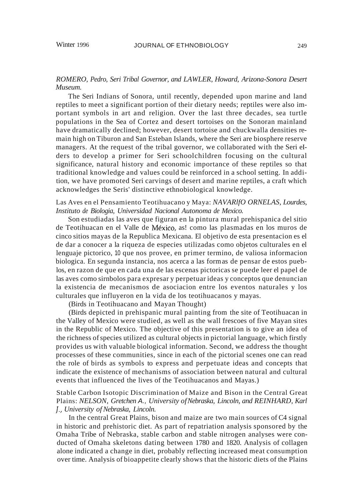# *ROMERO, Pedro, Seri Tribal Governor, and LAWLER, Howard, Arizona-Sonora Desert Museum.*

The Seri Indians of Sonora, until recently, depended upon marine and land reptiles to meet a significant portion of their dietary needs; reptiles were also important symbols in art and religion. Over the last three decades, sea turtle populations in the Sea of Cortez and desert tortoises on the Sonoran mainland have dramatically declined; however, desert tortoise and chuckwalla densities remain high on Tiburon and San Esteban Islands, where the Seri are biosphere reserve managers. At the request of the tribal governor, we collaborated with the Seri eIders to develop a primer for Seri schoolchildren focusing on the cultural significance, natural history and economic importance of these reptiles so that traditional knowledge and values could be reinforced in a school setting. In addition, we have promoted Seri carvings of desert and marine reptiles, a craft which acknowledges the Seris' distinctive ethnobiological knowledge.

# Las Aves en el Pensamiento Teotihuacano y Maya: *NAVARlfO ORNELAS, Lourdes, Instituto de Biologia, Universidad Nacional Autonoma de Mexico.*

Son estudiadas las aves que figuran en la pintura mural prehispanica del sitio de Teotihuacan en el Valle de Mexico, as! como las plasmadas en los muros de cinco sitios mayas de la Republica Mexicana. El objetivo de esta presentacion es el de dar a conocer a la riqueza de especies utilizadas como objetos culturales en el lenguaje pictorico, 10 que nos provee, en primer termino, de valiosa informacion biologica. En segunda instancia, nos acerca a las formas de pensar de estos pueblos, en razon de que en cada una de las escenas pictoricas se puede leer el papel de las aves como sirnbolos para expresar y perpetuar ideas y conceptos que denuncian la existencia de mecanismos de asociacion entre los eventos naturales y los culturales que influyeron en la vida de los teotihuacanos y mayas.

(Birds in Teotihuacano and Mayan Thought)

(Birds depicted in prehispanic mural painting from the site of Teotihuacan in the Valley of Mexico were studied, as well as the wall frescoes of five Mayan sites in the Republic of Mexico. The objective of this presentation is to give an idea of the richness ofspecies utilized as cultural objects in pictorial language, which firstly provides us with valuable biological information. Second, we address the thought processes of these communities, since in each of the pictorial scenes one can read the role of birds as symbols to express and perpetuate ideas and concepts that indicate the existence of mechanisms of association between natural and cultural events that influenced the lives of the Teotihuacanos and Mayas.)

### Stable Carbon Isotopic Discrimination of Maize and Bison in the Central Great Plains: *NELSON, Gretchen* A., *University ofNebraska, Lincoln, and REINHARD, Karl* f., *University ofNebraska, Lincoln.*

In the central Great Plains, bison and maize are two main sources of C4 signal in historic and prehistoric diet. As part of repatriation analysis sponsored by the Omaha Tribe of Nebraska, stable carbon and stable nitrogen analyses were conducted of Omaha skeletons dating between 1780 and 1820. Analysis of collagen alone indicated a change in diet, probably reflecting increased meat consumption over time. Analysis of bioappetite clearly shows that the historic diets of the Plains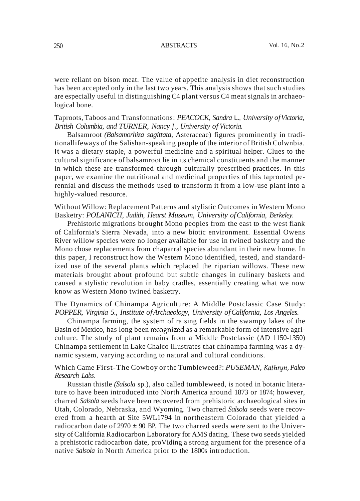were reliant on bison meat. The value of appetite analysis in diet reconstruction has been accepted only in the last two years. This analysis shows that such studies are especially useful in distinguishing C4 plant versus C4 meat signals in archaeological bone.

## Taproots, Taboos and Transfonnations: *PEACOCK, Sandra* L., *University ofVictoria, British Columbia, and TURNER, Nancy* J., *University of Victoria.*

Balsamroot *(Balsamorhiza sagittata,* Asteraceae) figures prominently in traditionallifeways of the Salishan-speaking people of the interior of British Colwnbia. It was a dietary staple, a powerful medicine and a spiritual helper. Clues to the cultural significance of balsamroot lie in its chemical constituents and the manner in which these are transformed through culturally prescribed practices. In this paper, we examine the nutritional and medicinal properties of this taprooted perennial and discuss the methods used to transform it from a low-use plant into a highly-valued resource.

Without Willow: Replacement Patterns and stylistic Outcomes in Western Mono Basketry: *POLANICH, Judith, Hearst Museum, University ofCalifornia, Berkeley.*

Prehistoric migrations brought Mono peoples from the east to the west flank of California's Sierra Nevada, into a new biotic environment. Essential Owens River willow species were no longer available for use in twined basketry and the Mono chose replacements from chaparral species abundant in their new home. In this paper, I reconstruct how the Western Mono identified, tested, and standardized use of the several plants which replaced the riparian willows. These new materials brought about profound but subtle changes in culinary baskets and caused a stylistic revolution in baby cradles, essentially creating what we now know as Western Mono twined basketry.

# The Dynamics of Chinampa Agriculture: A Middle Postclassic Case Study: *POPPER, Virginia 5., Institute ofArchaeology, University ofCalifornia, Los Angeles.*

Chinampa farming, the system of raising fields in the swampy lakes of the Basin of Mexico, has long been recognized as a remarkable form of intensive agriculture. The study of plant remains from a Middle Postclassic (AD 1150-1350) Chinampa settlement in Lake Chalco illustrates that chinampa farming was a dynamic system, varying according to natural and cultural conditions.

Which Came First-The Cowboy or the Tumbleweed?: *PUSEMAN, Kathryn, Paleo Research Labs.*

Russian thistle *(Salsola* sp.), also called tumbleweed, is noted in botanic literature to have been introduced into North America around 1873 or 1874; however, charred *Salsola* seeds have been recovered from prehistoric archaeological sites in Utah, Colorado, Nebraska, and Wyoming. Two charred *Salsola* seeds were recovered from a hearth at Site 5WL1794 in northeastern Colorado that yielded a radiocarbon date of  $2970 \pm 90$  BP. The two charred seeds were sent to the University ofCalifornia Radiocarbon Laboratory for AMS dating. These two seeds yielded a prehistoric radiocarbon date, proViding a strong argument for the presence of a native *Salsola* in North America prior to the 1800s introduction.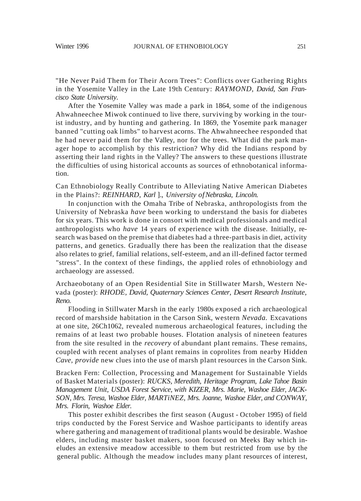"He Never Paid Them for Their Acorn Trees": Conflicts over Gathering Rights in the Yosemite Valley in the Late 19th Century: *RAYMOND, David, San Francisco State University.*

After the Yosemite Valley was made a park in 1864, some of the indigenous Ahwahneechee Miwok continued to live there, surviving by working in the tourist industry, and by hunting and gathering. In 1869, the Yosemite park manager banned "cutting oak limbs" to harvest acorns. The Ahwahneechee responded that he had never paid them for the Valley, nor for the trees. What did the park manager hope to accomplish by this restriction? Why did the Indians respond by asserting their land rights in the Valley? The answers to these questions illustrate the difficulties of using historical accounts as sources of ethnobotanical information.

Can Ethnobiology Really Contribute to Alleviating Native American Diabetes in the Plains?: *REINHARD, Karl* ]., *University ofNebraska, Lincoln.*

In conjunction with the Omaha Tribe of Nebraska, anthropologists from the University of Nebraska *have* been working to understand the basis for diabetes for six years. This work is done in consort with medical professionals and medical anthropologists who *have* 14 years of experience with the disease. Initially, research was based on the premise that diabetes had a three-part basis in diet, activity patterns, and genetics. Gradually there has been the realization that the disease also relates to grief, familial relations, self-esteem, and an ill-defined factor termed "stress". In the context of these findings, the applied roles of ethnobiology and archaeology are assessed.

Archaeobotany of an Open Residential Site in Stillwater Marsh, Western Nevada (poster): *RHODE, David, Quaternary Sciences Center, Desert Research Institute, Reno.*

Flooding in Stillwater Marsh in the early 1980s exposed a rich archaeological record of marshside habitation in the Carson Sink, western *Nevada.* Excavations at one site, 26Ch1062, revealed numerous archaeological features, including the remains of at least two probable houses. Flotation analysis of nineteen features from the site resulted in the *recovery* of abundant plant remains. These remains, coupled with recent analyses of plant remains in coprolites from nearby Hidden *Cave, provide* new clues into the use of marsh plant resources in the Carson Sink.

Bracken Fern: Collection, Processing and Management for Sustainable Yields of Basket Materials (poster): *RUCKS, Meredith, Heritage Program, Lake Tahoe Basin Management Unit, USDA Forest Service, with KIZER, Mrs. Marie, Washoe Elder, JACK-SON, Mrs. Teresa, Washoe Elder, MARTiNEZ, Mrs. Joanne, Washoe Elder, and CONWAY, Mrs. Florin, Washoe Elder.*

This poster exhibit describes the first season (August - October 1995) of field trips conducted by the Forest Service and Washoe participants to identify areas where gathering and management of traditional plants would be desirable. Washoe elders, including master basket makers, soon focused on Meeks Bay which ineludes an extensive meadow accessible to them but restricted from use by the general public. Although the meadow includes many plant resources of interest,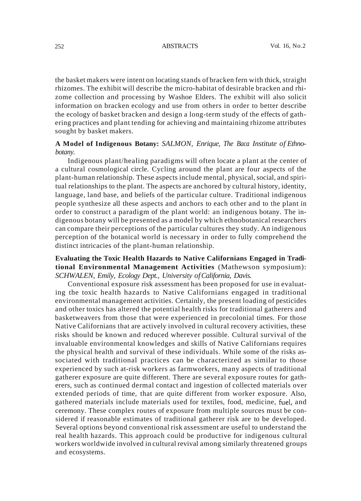the basket makers were intent on locating stands of bracken fern with thick, straight rhizomes. The exhibit will describe the micro-habitat of desirable bracken and rhizome collection and processing by Washoe Elders. The exhibit will also solicit information on bracken ecology and use from others in order to better describe the ecology of basket bracken and design a long-term study of the effects of gathering practices and plant tending for achieving and maintaining rhizome attributes sought by basket makers.

# **A Model of Indigenous Botany:** *SALMON, Enrique, The Baca Institute of Ethnobotany.*

Indigenous plant/healing paradigms will often locate a plant at the center of a cultural cosmological circle. Cycling around the plant are four aspects of the plant-human relationship. These aspects include mental, physical, social, and spiritual relationships to the plant. The aspects are anchored by cultural history, identity, language, land base, and beliefs of the particular culture. Traditional indigenous people synthesize all these aspects and anchors to each other and to the plant in order to construct a paradigm of the plant world: an indigenous botany. The indigenous botany will be presented as a model by which ethnobotanical researchers can compare their perceptions of the particular cultures they study. An indigenous perception of the botanical world is necessary in order to fully comprehend the distinct intricacies of the plant-human relationship.

# **Evaluating the Toxic Health Hazards to Native Californians Engaged in Traditional Environmental Management Activities** (Mathewson symposium): *SCHWALEN, Emily, Ecology Dept., University ofCalifornia, Davis.*

Conventional exposure risk assessment has been proposed for use in evaluating the toxic health hazards to Native Californians engaged in traditional environmental management activities. Certainly, the present loading of pesticides and other toxics has altered the potential health risks for traditional gatherers and basketweavers from those that were experienced in precolonial times. For those Native Californians that are actively involved in cultural recovery activities, these risks should be known and reduced wherever possible. Cultural survival of the invaluable environmental knowledges and skills of Native Californians requires the physical health and survival of these individuals. While some of the risks associated with traditional practices can be characterized as similar to those experienced by such at-risk workers as farmworkers, many aspects of traditional gatherer exposure are quite different. There are several exposure routes for gatherers, such as continued dermal contact and ingestion of collected materials over extended periods of time, that are quite different from worker exposure. Also, gathered materials include materials used for textiles, food, medicine, fuel, and ceremony. These complex routes of exposure from multiple sources must be considered if reasonable estimates of traditional gatherer risk are to be developed. Several options beyond conventional risk assessment are useful to understand the real health hazards. This approach could be productive for indigenous cultural workers worldwide involved in cultural revival among similarly threatened groups and ecosystems.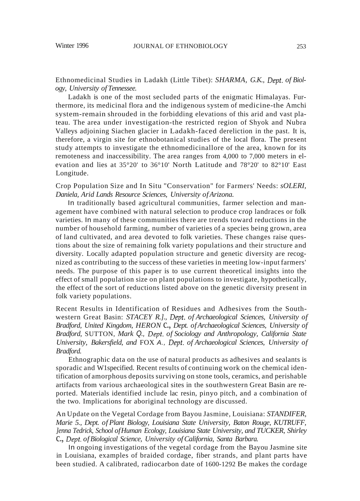Ethnomedicinal Studies in Ladakh (Little Tibet): *SHARMA, G.K., Dept. of Biology, University of Tennessee.*

Ladakh is one of the most secluded parts of the enigmatic Himalayas. Furthermore, its medicinal flora and the indigenous system of medicine-the Amchi system-remain shrouded in the forbidding elevations of this arid and vast plateau. The area under investigation-the restricted region of Shyok and Nubra Valleys adjoining Siachen glacier in Ladakh-faced dereliction in the past. It is, therefore, a virgin site for ethnobotanical studies of the local flora. The present study attempts to investigate the ethnomedicinallore of the area, known for its remoteness and inaccessibility. The area ranges from 4,000 to 7,000 meters in elevation and lies at 35°20' to 36°10' North Latitude and 78°20' to 82°10' East Longitude.

Crop Population Size and In Situ "Conservation" for Farmers' Needs: *sOLERI, Daniela, Arid Lands Resource Sciences, University ofArizona.*

In traditionally based agricultural communities, farmer selection and management have combined with natural selection to produce crop landraces or folk varieties. In many of these communities there are trends toward reductions in the number of household farming, number of varieties of a species being grown, area of land cultivated, and area devoted to folk varieties. These changes raise questions about the size of remaining folk variety populations and their structure and diversity. Locally adapted population structure and genetic diversity are recognized as contributing to the success of these varieties in meeting low-input farmers' needs. The purpose of this paper is to use current theoretical insights into the effect of small population size on plant populations to investigate, hypothetically, the effect of the sort of reductions listed above on the genetic diversity present in folk variety populations.

Recent Results in Identification of Residues and Adhesives from the Southwestern Great Basin: *STACEY R.]., Dept. of Archaeological Sciences, University of Bradford, United Kingdom, HERON* c., *Dept. ofArchaeological Sciences, University of Bradford,* SUTTON, *Mark* Q., *Dept. of Sociology and Anthropology, California State University, Bakersfield, and* FOX A., *Dept. of Archaeological Sciences, University of Bradford.*

Ethnographic data on the use of natural products as adhesives and sealants is sporadic and W1specified. Recent results of continuing work on the chemical identification of amorphous deposits surviving on stone tools, ceramics, and perishable artifacts from various archaeological sites in the southwestern Great Basin are reported. Materials identified include lac resin, pinyo pitch, and a combination of the two. Implications for aboriginal technology are discussed.

An Update on the Vegetal Cordage from Bayou Jasmine, Louisiana: *STANDIFER, Marie 5., Dept. of Plant Biology, Louisiana State University, Baton Rouge, KUTRUFF, ]enna Tedrick, School ofHuman Ecology, Louisiana State University, and TUCKER, Shirley* c., *Dept. of Biological Science, University ofCalifornia, Santa Barbara.*

In ongoing investigations of the vegetal cordage from the Bayou Jasmine site in Louisiana, examples of braided cordage, fiber strands, and plant parts have been studied. A calibrated, radiocarbon date of 1600-1292 Be makes the cordage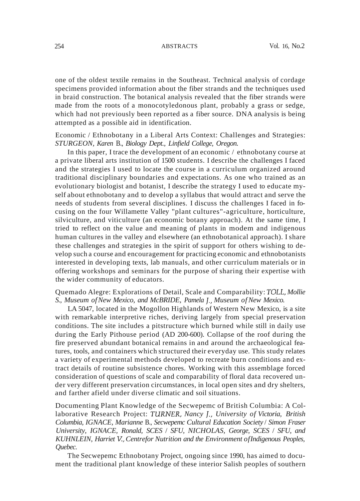one of the oldest textile remains in the Southeast. Technical analysis of cordage specimens provided information about the fiber strands and the techniques used in braid construction. The botanical analysis revealed that the fiber strands were made from the roots of a monocotyledonous plant, probably a grass or sedge, which had not previously been reported as a fiber source. DNA analysis is being attempted as a possible aid in identification.

### Economic / Ethnobotany in a Liberal Arts Context: Challenges and Strategies: *STURGEON, Karen* B., *Biology Dept., Linfield College, Oregon.*

In this paper, I trace the development of an economic / ethnobotany course at a private liberal arts institution of 1500 students. I describe the challenges I faced and the strategies I used to locate the course in a curriculum organized around traditional disciplinary boundaries and expectations. As one who trained as an evolutionary biologist and botanist, I describe the strategy I used to educate myself about ethnobotany and to develop a syllabus that would attract and serve the needs of students from several disciplines. I discuss the challenges I faced in focusing on the four Willamette Valley "plant cultures"-agriculture, horticulture, silviculture, and viticulture (an economic botany approach). At the same time, I tried to reflect on the value and meaning of plants in modem and indigenous human cultures in the valley and elsewhere (an ethnobotanical approach). I share these challenges and strategies in the spirit of support for others wishing to develop such a course and encouragement for practicing economic and ethnobotanists interested in developing texts, lab manuals, and other curriculum materials or in offering workshops and seminars for the purpose of sharing their expertise with the wider community of educators.

#### Quemado Alegre: Explorations of Detail, Scale and Comparability: *TOLL, Mollie S., Museum ofNew Mexico, and McBRIDE, Pamela* J., *Museum ofNew Mexico.*

LA 5047, located in the Mogollon Highlands of Western New Mexico, is a site with remarkable interpretive riches, deriving largely from special preservation conditions. The site includes a pitstructure which burned while still in daily use during the Early Pithouse period (AD 200-600). Collapse of the roof during the fire preserved abundant botanical remains in and around the archaeological features, tools, and containers which structured their everyday use. This study relates a variety of experimental methods developed to recreate burn conditions and extract details of routine subsistence chores. Working with this assemblage forced consideration of questions of scale and comparability of floral data recovered under very different preservation circumstances, in local open sites and dry shelters, and farther afield under diverse climatic and soil situations.

Documenting Plant Knowledge of the Secwepemc of British Columbia: A Collaborative Research Project: *TURNER, Nancy* f., *University of Victoria, British Columbia, IGNACE, Marianne* B., *Secwepemc Cultural Education Society* / *Simon Fraser University, IGNACE, Ronald, SCES* / *SFU, NICHOLAS, George, SCES* / *SFU, and KUHNLEIN, Harriet V, Centrefor Nutrition and the Environment ofIndigenous Peoples, Quebec.*

The Secwepemc Ethnobotany Project, ongoing since 1990, has aimed to document the traditional plant knowledge of these interior Salish peoples of southern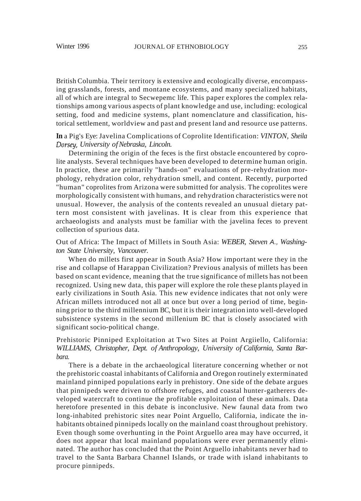British Columbia. Their territory is extensive and ecologically diverse, encompassing grasslands, forests, and montane ecosystems, and many specialized habitats, all of which are integral to Secwepemc life. This paper explores the complex relationships among various aspects of plant knowledge and use, including: ecological setting, food and medicine systems, plant nomenclature and classification, historical settlement, worldview and past and present land and resource use patterns.

# **In** a Pig's Eye: Javelina Complications of Coprolite Identification: *VINTON, Sheila Dorsey, University ofNebraska, Lincoln.*

Determining the origin of the feces is the first obstacle encountered by coprolite analysts. Several techniques have been developed to determine human origin. In practice, these are primarily "hands-on" evaluations of pre-rehydration morphology, rehydration color, rehydration smell, and content. Recently, purported "human" coprolites from Arizona were submitted for analysis. The coprolites were morphologically consistent with humans, and rehydration characteristics were not unusual. However, the analysis of the contents revealed an unusual dietary pattern most consistent with javelinas. It is clear from this experience that archaeologists and analysts must be familiar with the javelina feces to prevent collection of spurious data.

Out of Africa: The Impact of Millets in South Asia: *WEBER, Steven* A., *Washington State University, Vancouver.*

When do millets first appear in South Asia? How important were they in the rise and collapse of Harappan Civilization? Previous analysis of millets has been based on scant evidence, meaning that the true significance of millets has not been recognized. Using new data, this paper will explore the role these plants played in early civilizations in South Asia. This new evidence indicates that not only were African millets introduced not all at once but over a long period of time, beginning prior to the third millennium BC, but it is their integration into well-developed subsistence systems in the second millenium BC that is closely associated with significant socio-political change.

# Prehistoric Pinniped Exploitation at Two Sites at Point Argiiello, California: *WILLIAMS, Christopher, Dept. of Anthropology, University of California, Santa Barbara.*

There is a debate in the archaeological literature concerning whether or not the prehistoric coastal inhabitants of California and Oregon routinely exterminated mainland pinniped populations early in prehistory. One side of the debate argues that pinnipeds were driven to offshore refuges, and coastal hunter-gatherers developed watercraft to continue the profitable exploitation of these animals. Data heretofore presented in this debate is inconclusive. New faunal data from two long-inhabited prehistoric sites near Point Arguello, California, indicate the inhabitants obtained pinnipeds locally on the mainland coast throughout prehistory. Even though some overhunting in the Point Arguello area may have occurred, it does not appear that local mainland populations were ever permanently eliminated. The author has concluded that the Point Arguello inhabitants never had to travel to the Santa Barbara Channel Islands, or trade with island inhabitants to procure pinnipeds.